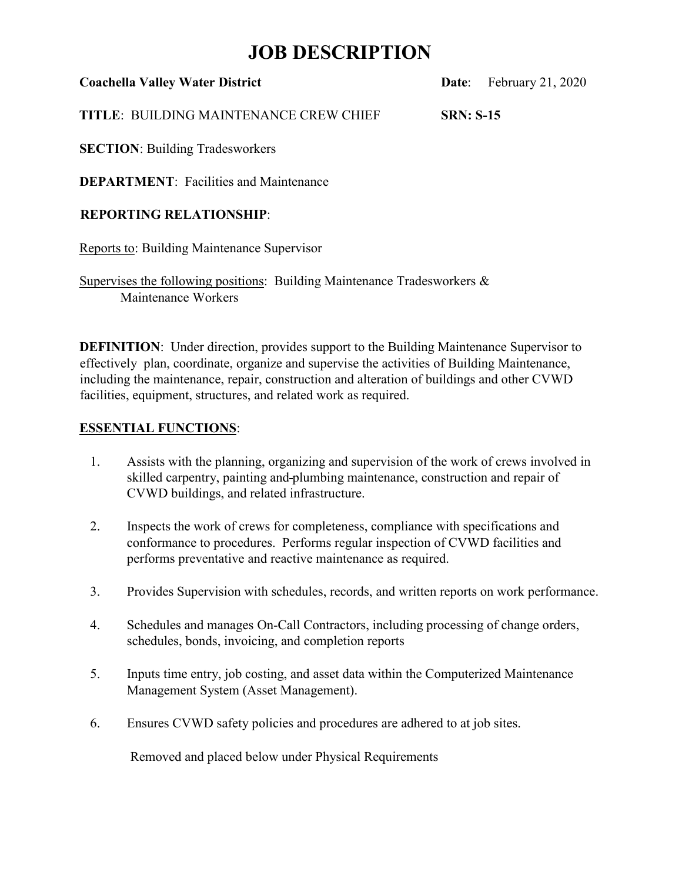## **JOB DESCRIPTION**

| <b>Coachella Valley Water District</b> |  |  |  |
|----------------------------------------|--|--|--|
|----------------------------------------|--|--|--|

**Date:** February 21, 2020

**TITLE**: BUILDING MAINTENANCE CREW CHIEF **SRN: S-15**

**SECTION**: Building Tradesworkers

**DEPARTMENT: Facilities and Maintenance** 

### **REPORTING RELATIONSHIP**:

Reports to: Building Maintenance Supervisor

Supervises the following positions: Building Maintenance Tradesworkers & Maintenance Workers

**DEFINITION:** Under direction, provides support to the Building Maintenance Supervisor to effectively plan, coordinate, organize and supervise the activities of Building Maintenance, including the maintenance, repair, construction and alteration of buildings and other CVWD facilities, equipment, structures, and related work as required.

### **ESSENTIAL FUNCTIONS**:

- 1. Assists with the planning, organizing and supervision of the work of crews involved in skilled carpentry, painting and plumbing maintenance, construction and repair of CVWD buildings, and related infrastructure.
- 2. Inspects the work of crews for completeness, compliance with specifications and conformance to procedures. Performs regular inspection of CVWD facilities and performs preventative and reactive maintenance as required.
- 3. Provides Supervision with schedules, records, and written reports on work performance.
- 4. Schedules and manages On-Call Contractors, including processing of change orders, schedules, bonds, invoicing, and completion reports
- 5. Inputs time entry, job costing, and asset data within the Computerized Maintenance Management System (Asset Management).
- 6. Ensures CVWD safety policies and procedures are adhered to at job sites.

Removed and placed below under Physical Requirements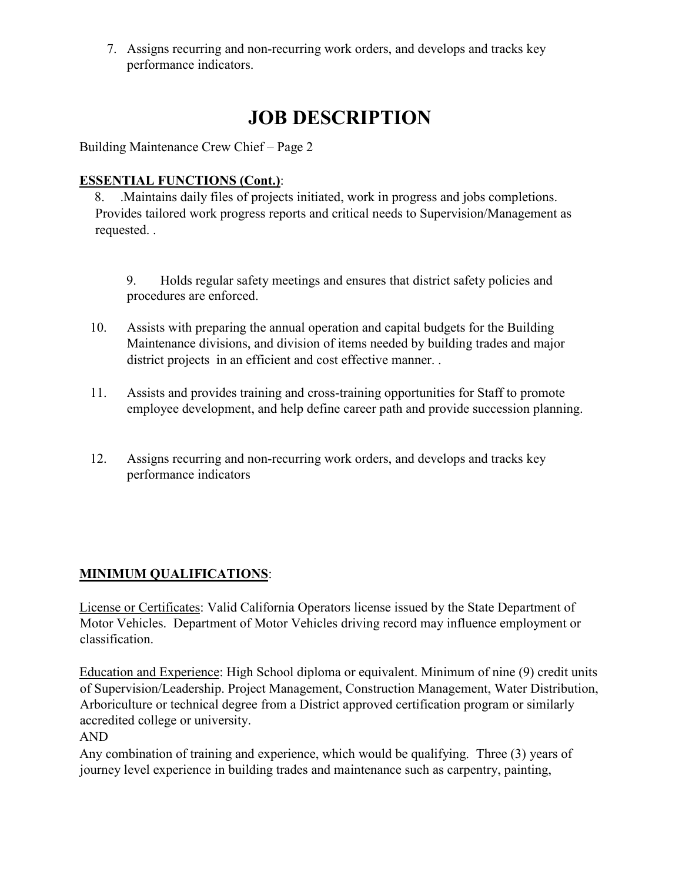7. Assigns recurring and non-recurring work orders, and develops and tracks key performance indicators.

# **JOB DESCRIPTION**

Building Maintenance Crew Chief – Page 2

## **ESSENTIAL FUNCTIONS (Cont.)**:

8. .Maintains daily files of projects initiated, work in progress and jobs completions. Provides tailored work progress reports and critical needs to Supervision/Management as requested. .

9. Holds regular safety meetings and ensures that district safety policies and procedures are enforced.

- 10. Assists with preparing the annual operation and capital budgets for the Building Maintenance divisions, and division of items needed by building trades and major district projects in an efficient and cost effective manner. .
- 11. Assists and provides training and cross-training opportunities for Staff to promote employee development, and help define career path and provide succession planning.
- 12. Assigns recurring and non-recurring work orders, and develops and tracks key performance indicators

## **MINIMUM QUALIFICATIONS**:

License or Certificates: Valid California Operators license issued by the State Department of Motor Vehicles. Department of Motor Vehicles driving record may influence employment or classification.

Education and Experience: High School diploma or equivalent. Minimum of nine (9) credit units of Supervision/Leadership. Project Management, Construction Management, Water Distribution, Arboriculture or technical degree from a District approved certification program or similarly accredited college or university.

AND

Any combination of training and experience, which would be qualifying. Three (3) years of journey level experience in building trades and maintenance such as carpentry, painting,